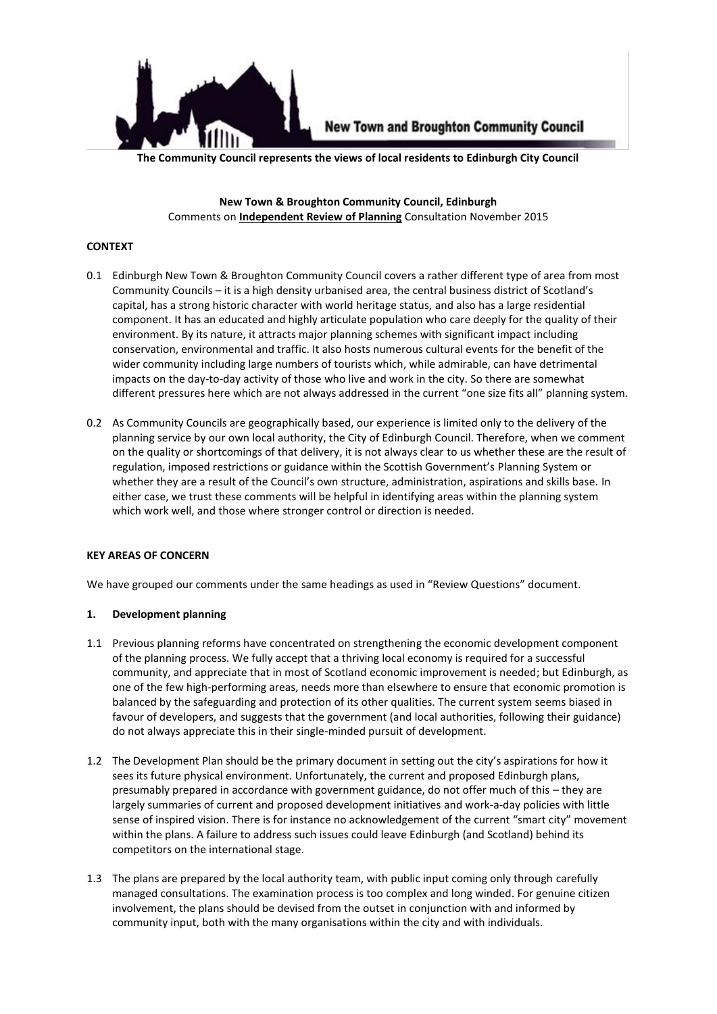

**New Town and Broughton Community Council** 

**The Community Council represents the views of local residents to Edinburgh City Council**

**New Town & Broughton Community Council, Edinburgh** Comments on **Independent Review of Planning** Consultation November 2015

## **CONTEXT**

- 0.1 Edinburgh New Town & Broughton Community Council covers a rather different type of area from most Community Councils – it is a high density urbanised area, the central business district of Scotland's capital, has a strong historic character with world heritage status, and also has a large residential component. It has an educated and highly articulate population who care deeply for the quality of their environment. By its nature, it attracts major planning schemes with significant impact including conservation, environmental and traffic. It also hosts numerous cultural events for the benefit of the wider community including large numbers of tourists which, while admirable, can have detrimental impacts on the day-to-day activity of those who live and work in the city. So there are somewhat different pressures here which are not always addressed in the current "one size fits all" planning system.
- 0.2 As Community Councils are geographically based, our experience is limited only to the delivery of the planning service by our own local authority, the City of Edinburgh Council. Therefore, when we comment on the quality or shortcomings of that delivery, it is not always clear to us whether these are the result of regulation, imposed restrictions or guidance within the Scottish Government's Planning System or whether they are a result of the Council's own structure, administration, aspirations and skills base. In either case, we trust these comments will be helpful in identifying areas within the planning system which work well, and those where stronger control or direction is needed.

#### **KEY AREAS OF CONCERN**

We have grouped our comments under the same headings as used in "Review Questions" document.

## **1. Development planning**

- 1.1 Previous planning reforms have concentrated on strengthening the economic development component of the planning process. We fully accept that a thriving local economy is required for a successful community, and appreciate that in most of Scotland economic improvement is needed; but Edinburgh, as one of the few high-performing areas, needs more than elsewhere to ensure that economic promotion is balanced by the safeguarding and protection of its other qualities. The current system seems biased in favour of developers, and suggests that the government (and local authorities, following their guidance) do not always appreciate this in their single-minded pursuit of development.
- 1.2 The Development Plan should be the primary document in setting out the city's aspirations for how it sees its future physical environment. Unfortunately, the current and proposed Edinburgh plans, presumably prepared in accordance with government guidance, do not offer much of this – they are largely summaries of current and proposed development initiatives and work-a-day policies with little sense of inspired vision. There is for instance no acknowledgement of the current "smart city" movement within the plans. A failure to address such issues could leave Edinburgh (and Scotland) behind its competitors on the international stage.
- 1.3 The plans are prepared by the local authority team, with public input coming only through carefully managed consultations. The examination process is too complex and long winded. For genuine citizen involvement, the plans should be devised from the outset in conjunction with and informed by community input, both with the many organisations within the city and with individuals.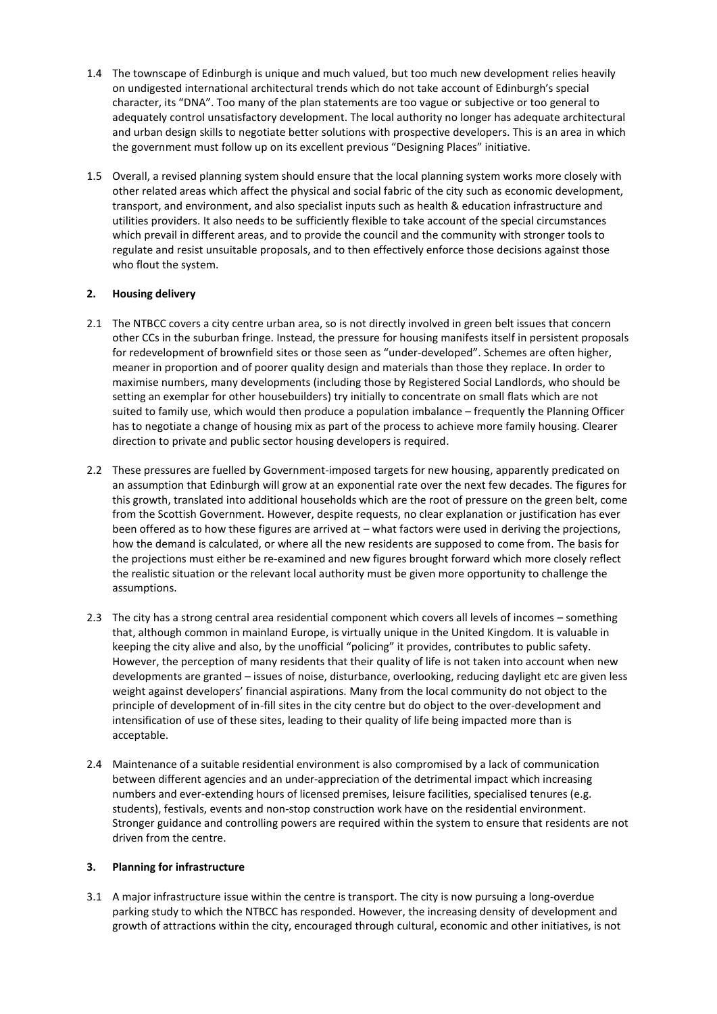- 1.4 The townscape of Edinburgh is unique and much valued, but too much new development relies heavily on undigested international architectural trends which do not take account of Edinburgh's special character, its "DNA". Too many of the plan statements are too vague or subjective or too general to adequately control unsatisfactory development. The local authority no longer has adequate architectural and urban design skills to negotiate better solutions with prospective developers. This is an area in which the government must follow up on its excellent previous "Designing Places" initiative.
- 1.5 Overall, a revised planning system should ensure that the local planning system works more closely with other related areas which affect the physical and social fabric of the city such as economic development, transport, and environment, and also specialist inputs such as health & education infrastructure and utilities providers. It also needs to be sufficiently flexible to take account of the special circumstances which prevail in different areas, and to provide the council and the community with stronger tools to regulate and resist unsuitable proposals, and to then effectively enforce those decisions against those who flout the system.

# **2. Housing delivery**

- 2.1 The NTBCC covers a city centre urban area, so is not directly involved in green belt issues that concern other CCs in the suburban fringe. Instead, the pressure for housing manifests itself in persistent proposals for redevelopment of brownfield sites or those seen as "under-developed". Schemes are often higher, meaner in proportion and of poorer quality design and materials than those they replace. In order to maximise numbers, many developments (including those by Registered Social Landlords, who should be setting an exemplar for other housebuilders) try initially to concentrate on small flats which are not suited to family use, which would then produce a population imbalance – frequently the Planning Officer has to negotiate a change of housing mix as part of the process to achieve more family housing. Clearer direction to private and public sector housing developers is required.
- 2.2 These pressures are fuelled by Government-imposed targets for new housing, apparently predicated on an assumption that Edinburgh will grow at an exponential rate over the next few decades. The figures for this growth, translated into additional households which are the root of pressure on the green belt, come from the Scottish Government. However, despite requests, no clear explanation or justification has ever been offered as to how these figures are arrived at – what factors were used in deriving the projections, how the demand is calculated, or where all the new residents are supposed to come from. The basis for the projections must either be re-examined and new figures brought forward which more closely reflect the realistic situation or the relevant local authority must be given more opportunity to challenge the assumptions.
- 2.3 The city has a strong central area residential component which covers all levels of incomes something that, although common in mainland Europe, is virtually unique in the United Kingdom. It is valuable in keeping the city alive and also, by the unofficial "policing" it provides, contributes to public safety. However, the perception of many residents that their quality of life is not taken into account when new developments are granted – issues of noise, disturbance, overlooking, reducing daylight etc are given less weight against developers' financial aspirations. Many from the local community do not object to the principle of development of in-fill sites in the city centre but do object to the over-development and intensification of use of these sites, leading to their quality of life being impacted more than is acceptable.
- 2.4 Maintenance of a suitable residential environment is also compromised by a lack of communication between different agencies and an under-appreciation of the detrimental impact which increasing numbers and ever-extending hours of licensed premises, leisure facilities, specialised tenures (e.g. students), festivals, events and non-stop construction work have on the residential environment. Stronger guidance and controlling powers are required within the system to ensure that residents are not driven from the centre.

## **3. Planning for infrastructure**

3.1 A major infrastructure issue within the centre is transport. The city is now pursuing a long-overdue parking study to which the NTBCC has responded. However, the increasing density of development and growth of attractions within the city, encouraged through cultural, economic and other initiatives, is not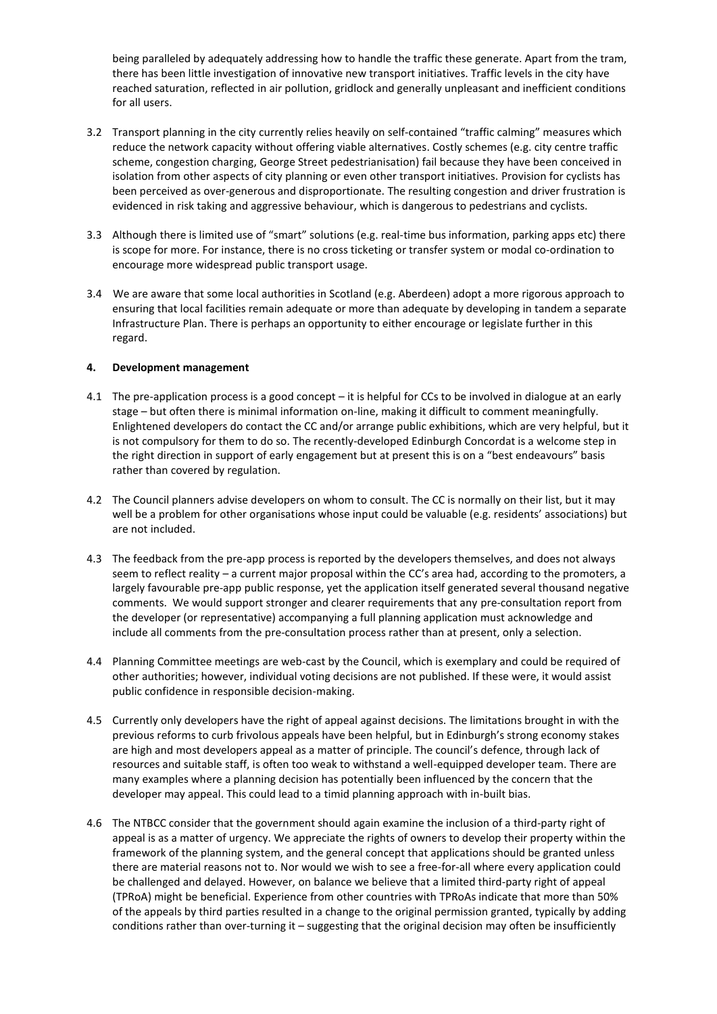being paralleled by adequately addressing how to handle the traffic these generate. Apart from the tram, there has been little investigation of innovative new transport initiatives. Traffic levels in the city have reached saturation, reflected in air pollution, gridlock and generally unpleasant and inefficient conditions for all users.

- 3.2 Transport planning in the city currently relies heavily on self-contained "traffic calming" measures which reduce the network capacity without offering viable alternatives. Costly schemes (e.g. city centre traffic scheme, congestion charging, George Street pedestrianisation) fail because they have been conceived in isolation from other aspects of city planning or even other transport initiatives. Provision for cyclists has been perceived as over-generous and disproportionate. The resulting congestion and driver frustration is evidenced in risk taking and aggressive behaviour, which is dangerous to pedestrians and cyclists.
- 3.3 Although there is limited use of "smart" solutions (e.g. real-time bus information, parking apps etc) there is scope for more. For instance, there is no cross ticketing or transfer system or modal co-ordination to encourage more widespread public transport usage.
- 3.4 We are aware that some local authorities in Scotland (e.g. Aberdeen) adopt a more rigorous approach to ensuring that local facilities remain adequate or more than adequate by developing in tandem a separate Infrastructure Plan. There is perhaps an opportunity to either encourage or legislate further in this regard.

## **4. Development management**

- 4.1 The pre-application process is a good concept it is helpful for CCs to be involved in dialogue at an early stage – but often there is minimal information on-line, making it difficult to comment meaningfully. Enlightened developers do contact the CC and/or arrange public exhibitions, which are very helpful, but it is not compulsory for them to do so. The recently-developed Edinburgh Concordat is a welcome step in the right direction in support of early engagement but at present this is on a "best endeavours" basis rather than covered by regulation.
- 4.2 The Council planners advise developers on whom to consult. The CC is normally on their list, but it may well be a problem for other organisations whose input could be valuable (e.g. residents' associations) but are not included.
- 4.3 The feedback from the pre-app process is reported by the developers themselves, and does not always seem to reflect reality – a current major proposal within the CC's area had, according to the promoters, a largely favourable pre-app public response, yet the application itself generated several thousand negative comments. We would support stronger and clearer requirements that any pre-consultation report from the developer (or representative) accompanying a full planning application must acknowledge and include all comments from the pre-consultation process rather than at present, only a selection.
- 4.4 Planning Committee meetings are web-cast by the Council, which is exemplary and could be required of other authorities; however, individual voting decisions are not published. If these were, it would assist public confidence in responsible decision-making.
- 4.5 Currently only developers have the right of appeal against decisions. The limitations brought in with the previous reforms to curb frivolous appeals have been helpful, but in Edinburgh's strong economy stakes are high and most developers appeal as a matter of principle. The council's defence, through lack of resources and suitable staff, is often too weak to withstand a well-equipped developer team. There are many examples where a planning decision has potentially been influenced by the concern that the developer may appeal. This could lead to a timid planning approach with in-built bias.
- 4.6 The NTBCC consider that the government should again examine the inclusion of a third-party right of appeal is as a matter of urgency. We appreciate the rights of owners to develop their property within the framework of the planning system, and the general concept that applications should be granted unless there are material reasons not to. Nor would we wish to see a free-for-all where every application could be challenged and delayed. However, on balance we believe that a limited third-party right of appeal (TPRoA) might be beneficial. Experience from other countries with TPRoAs indicate that more than 50% of the appeals by third parties resulted in a change to the original permission granted, typically by adding conditions rather than over-turning it – suggesting that the original decision may often be insufficiently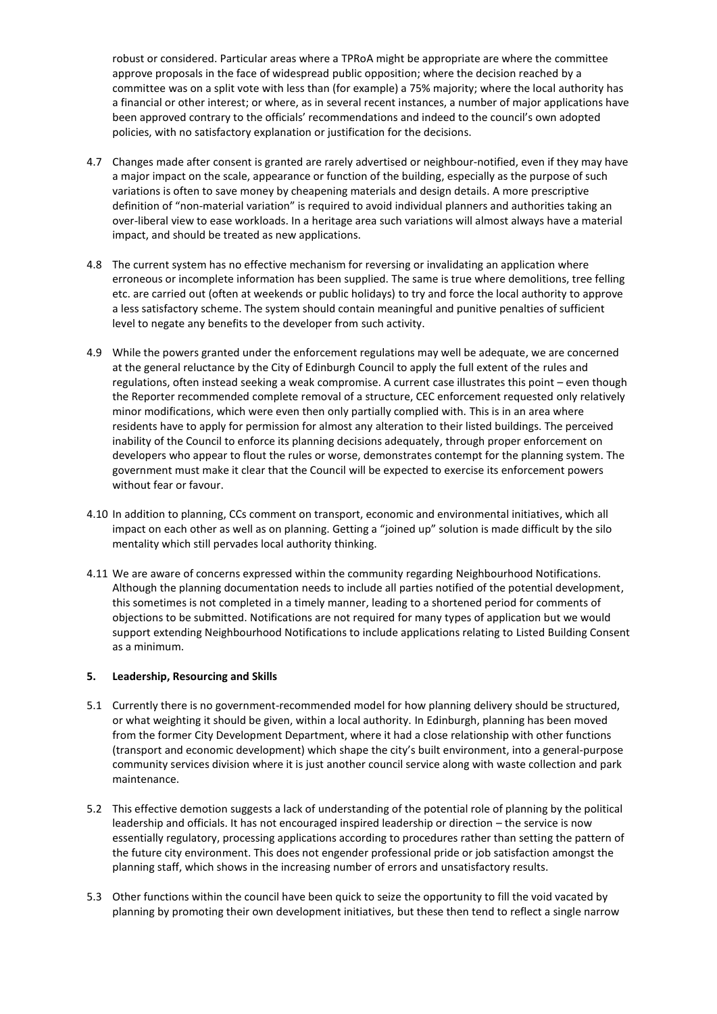robust or considered. Particular areas where a TPRoA might be appropriate are where the committee approve proposals in the face of widespread public opposition; where the decision reached by a committee was on a split vote with less than (for example) a 75% majority; where the local authority has a financial or other interest; or where, as in several recent instances, a number of major applications have been approved contrary to the officials' recommendations and indeed to the council's own adopted policies, with no satisfactory explanation or justification for the decisions.

- 4.7 Changes made after consent is granted are rarely advertised or neighbour-notified, even if they may have a major impact on the scale, appearance or function of the building, especially as the purpose of such variations is often to save money by cheapening materials and design details. A more prescriptive definition of "non-material variation" is required to avoid individual planners and authorities taking an over-liberal view to ease workloads. In a heritage area such variations will almost always have a material impact, and should be treated as new applications.
- 4.8 The current system has no effective mechanism for reversing or invalidating an application where erroneous or incomplete information has been supplied. The same is true where demolitions, tree felling etc. are carried out (often at weekends or public holidays) to try and force the local authority to approve a less satisfactory scheme. The system should contain meaningful and punitive penalties of sufficient level to negate any benefits to the developer from such activity.
- 4.9 While the powers granted under the enforcement regulations may well be adequate, we are concerned at the general reluctance by the City of Edinburgh Council to apply the full extent of the rules and regulations, often instead seeking a weak compromise. A current case illustrates this point – even though the Reporter recommended complete removal of a structure, CEC enforcement requested only relatively minor modifications, which were even then only partially complied with. This is in an area where residents have to apply for permission for almost any alteration to their listed buildings. The perceived inability of the Council to enforce its planning decisions adequately, through proper enforcement on developers who appear to flout the rules or worse, demonstrates contempt for the planning system. The government must make it clear that the Council will be expected to exercise its enforcement powers without fear or favour.
- 4.10 In addition to planning, CCs comment on transport, economic and environmental initiatives, which all impact on each other as well as on planning. Getting a "joined up" solution is made difficult by the silo mentality which still pervades local authority thinking.
- 4.11 We are aware of concerns expressed within the community regarding Neighbourhood Notifications. Although the planning documentation needs to include all parties notified of the potential development, this sometimes is not completed in a timely manner, leading to a shortened period for comments of objections to be submitted. Notifications are not required for many types of application but we would support extending Neighbourhood Notifications to include applications relating to Listed Building Consent as a minimum.

## **5. Leadership, Resourcing and Skills**

- 5.1 Currently there is no government-recommended model for how planning delivery should be structured, or what weighting it should be given, within a local authority. In Edinburgh, planning has been moved from the former City Development Department, where it had a close relationship with other functions (transport and economic development) which shape the city's built environment, into a general-purpose community services division where it is just another council service along with waste collection and park maintenance.
- 5.2 This effective demotion suggests a lack of understanding of the potential role of planning by the political leadership and officials. It has not encouraged inspired leadership or direction – the service is now essentially regulatory, processing applications according to procedures rather than setting the pattern of the future city environment. This does not engender professional pride or job satisfaction amongst the planning staff, which shows in the increasing number of errors and unsatisfactory results.
- 5.3 Other functions within the council have been quick to seize the opportunity to fill the void vacated by planning by promoting their own development initiatives, but these then tend to reflect a single narrow